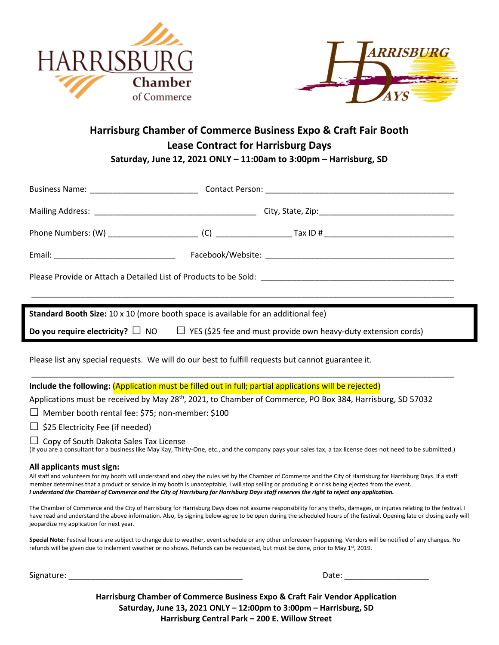



# **Harrisburg Chamber of Commerce Business Expo & Craft Fair Booth Lease Contract for Harrisburg Days Saturday, June 12, 2021 ONLY – 11:00am to 3:00pm – Harrisburg, SD**

| <b>Standard Booth Size:</b> 10 x 10 (more booth space is available for an additional fee)                                                                                                                                                                                                                                                                                                                                                                                                        |
|--------------------------------------------------------------------------------------------------------------------------------------------------------------------------------------------------------------------------------------------------------------------------------------------------------------------------------------------------------------------------------------------------------------------------------------------------------------------------------------------------|
| <b>Do you require electricity?</b> $\Box$ NO $\Box$ YES (\$25 fee and must provide own heavy-duty extension cords)                                                                                                                                                                                                                                                                                                                                                                               |
| Please list any special requests. We will do our best to fulfill requests but cannot guarantee it.                                                                                                                                                                                                                                                                                                                                                                                               |
| Include the following: (Application must be filled out in full; partial applications will be rejected)                                                                                                                                                                                                                                                                                                                                                                                           |
| Applications must be received by May 28 <sup>th</sup> , 2021, to Chamber of Commerce, PO Box 384, Harrisburg, SD 57032                                                                                                                                                                                                                                                                                                                                                                           |
| $\Box$ Member booth rental fee: \$75; non-member: \$100                                                                                                                                                                                                                                                                                                                                                                                                                                          |
| $\Box$ \$25 Electricity Fee (if needed)                                                                                                                                                                                                                                                                                                                                                                                                                                                          |
| $\Box$ Copy of South Dakota Sales Tax License<br>(if you are a consultant for a business like May Kay, Thirty-One, etc., and the company pays your sales tax, a tax license does not need to be submitted.)                                                                                                                                                                                                                                                                                      |
| All applicants must sign:<br>All staff and volunteers for my booth will understand and obey the rules set by the Chamber of Commerce and the City of Harrisburg for Harrisburg Days. If a staff<br>member determines that a product or service in my booth is unacceptable, I will stop selling or producing it or risk being ejected from the event.<br>I understand the Chamber of Commerce and the City of Harrisburg for Harrisburg Days staff reserves the right to reject any application. |
| The Chamber of Commerce and the City of Harrisburg for Harrisburg Days does not assume responsibility for any thefts, damages, or injuries relating to the festival. I<br>have read and understand the above information. Also, by signing below agree to be open during the scheduled hours of the festival. Opening late or closing early will<br>jeopardize my application for next year.                                                                                                     |
| Special Note: Festival hours are subject to change due to weather, event schedule or any other unforeseen happening. Vendors will be notified of any changes. No<br>refunds will be given due to inclement weather or no shows. Refunds can be requested, but must be done, prior to May 1st, 2019.                                                                                                                                                                                              |
|                                                                                                                                                                                                                                                                                                                                                                                                                                                                                                  |

**Harrisburg Chamber of Commerce Business Expo & Craft Fair Vendor Application Saturday, June 13, 2021 ONLY – 12:00pm to 3:00pm – Harrisburg, SD Harrisburg Central Park – 200 E. Willow Street**